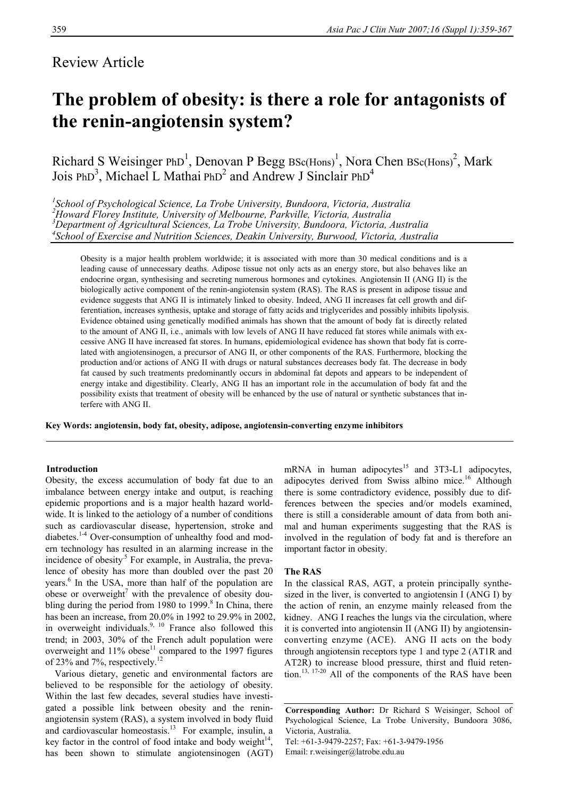## Review Article

# **The problem of obesity: is there a role for antagonists of the renin-angiotensin system?**

Richard S Weisinger PhD<sup>1</sup>, Denovan P Begg  $BSc(Hons)^1$ , Nora Chen  $BSc(Hons)^2$ , Mark Jois PhD<sup>3</sup>, Michael L Mathai PhD<sup>2</sup> and Andrew J Sinclair PhD<sup>4</sup>

 *School of Psychological Science, La Trobe University, Bundoora, Victoria, Australia Howard Florey Institute, University of Melbourne, Parkville, Victoria, Australia 3 Department of Agricultural Sciences, La Trobe University, Bundoora, Victoria, Australia [School of Exercise and Nutrition Sciences](http://www.deakin.edu.au/hmnbs/ens/staff/index.php?username=andys), Deakin University, Burwood, Victoria, Australia* 

Obesity is a major health problem worldwide; it is associated with more than 30 medical conditions and is a leading cause of unnecessary deaths. Adipose tissue not only acts as an energy store, but also behaves like an endocrine organ, synthesising and secreting numerous hormones and cytokines. Angiotensin II (ANG II) is the biologically active component of the renin-angiotensin system (RAS). The RAS is present in adipose tissue and evidence suggests that ANG II is intimately linked to obesity. Indeed, ANG II increases fat cell growth and differentiation, increases synthesis, uptake and storage of fatty acids and triglycerides and possibly inhibits lipolysis. Evidence obtained using genetically modified animals has shown that the amount of body fat is directly related to the amount of ANG II, i.e., animals with low levels of ANG II have reduced fat stores while animals with excessive ANG II have increased fat stores. In humans, epidemiological evidence has shown that body fat is correlated with angiotensinogen, a precursor of ANG II, or other components of the RAS. Furthermore, blocking the production and/or actions of ANG II with drugs or natural substances decreases body fat. The decrease in body fat caused by such treatments predominantly occurs in abdominal fat depots and appears to be independent of energy intake and digestibility. Clearly, ANG II has an important role in the accumulation of body fat and the possibility exists that treatment of obesity will be enhanced by the use of natural or synthetic substances that interfere with ANG II.

**Key Words: angiotensin, body fat, obesity, adipose, angiotensin-converting enzyme inhibitors** 

#### **Introduction**

Obesity, the excess accumulation of body fat due to an imbalance between energy intake and output, is reaching epidemic proportions and is a major health hazard worldwide. It is linked to the aetiology of a number of conditions such as cardiovascular disease, hypertension, stroke and diabetes.1-4 Over-consumption of unhealthy food and modern technology has resulted in an alarming increase in the incidence of obesity.<sup>5</sup> For example, in Australia, the prevalence of obesity has more than doubled over the past 20 years.<sup>6</sup> In the USA, more than half of the population are obese or overweight<sup>7</sup> with the prevalence of obesity doubling during the period from  $1980$  to  $1999$ .<sup>8</sup> In China, there has been an increase, from 20.0% in 1992 to 29.9% in 2002, in overweight individuals.<sup>9, 10</sup> France also followed this trend; in 2003, 30% of the French adult population were overweight and  $11\%$  obese<sup>11</sup> compared to the 1997 figures of 23% and 7%, respectively.12

 Various dietary, genetic and environmental factors are believed to be responsible for the aetiology of obesity. Within the last few decades, several studies have investigated a possible link between obesity and the reninangiotensin system (RAS), a system involved in body fluid and cardiovascular homeostasis.<sup>13</sup> For example, insulin, a key factor in the control of food intake and body weight $14$ , has been shown to stimulate angiotensinogen (AGT) mRNA in human adipocytes<sup>15</sup> and 3T3-L1 adipocytes, adipocytes derived from Swiss albino mice.<sup>16</sup> Although there is some contradictory evidence, possibly due to differences between the species and/or models examined, there is still a considerable amount of data from both animal and human experiments suggesting that the RAS is involved in the regulation of body fat and is therefore an important factor in obesity.

#### **The RAS**

In the classical RAS, AGT, a protein principally synthesized in the liver, is converted to angiotensin I (ANG I) by the action of renin, an enzyme mainly released from the kidney. ANG I reaches the lungs via the circulation, where it is converted into angiotensin II (ANG II) by angiotensinconverting enzyme (ACE). ANG II acts on the body through angiotensin receptors type 1 and type 2 (AT1R and AT2R) to increase blood pressure, thirst and fluid retention.<sup>13, 17-20</sup> All of the components of the RAS have been

Tel: +61-3-9479-2257; Fax: +61-3-9479-1956 Email: r.weisinger@latrobe.edu.au

**Corresponding Author:** Dr Richard S Weisinger, School of Psychological Science, La Trobe University, Bundoora 3086, Victoria, Australia.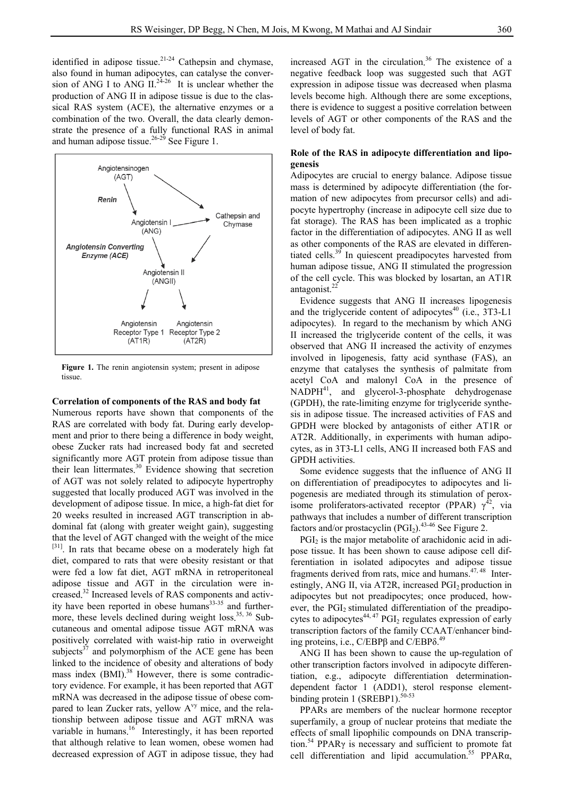identified in adipose tissue.<sup>21-24</sup> Cathepsin and chymase. also found in human adipocytes, can catalyse the conversion of ANG I to ANG II.<sup>24-26</sup> It is unclear whether the production of ANG II in adipose tissue is due to the classical RAS system (ACE), the alternative enzymes or a combination of the two. Overall, the data clearly demonstrate the presence of a fully functional RAS in animal and human adipose tissue.<sup>26-29</sup> See Figure 1.



**Figure 1.** The renin angiotensin system; present in adipose tissue.

#### **Correlation of components of the RAS and body fat**

Numerous reports have shown that components of the RAS are correlated with body fat. During early development and prior to there being a difference in body weight, obese Zucker rats had increased body fat and secreted significantly more AGT protein from adipose tissue than their lean littermates. 30 Evidence showing that secretion of AGT was not solely related to adipocyte hypertrophy suggested that locally produced AGT was involved in the development of adipose tissue. In mice, a high-fat diet for 20 weeks resulted in increased AGT transcription in abdominal fat (along with greater weight gain), suggesting that the level of AGT changed with the weight of the mice [31]. In rats that became obese on a moderately high fat diet, compared to rats that were obesity resistant or that were fed a low fat diet, AGT mRNA in retroperitoneal adipose tissue and AGT in the circulation were increased. 32 Increased levels of RAS components and activity have been reported in obese humans $33-35$  and furthermore, these levels declined during weight loss.<sup>35, 36</sup> Subcutaneous and omental adipose tissue AGT mRNA was positively correlated with waist-hip ratio in overweight subjects<sup>37</sup> and polymorphism of the ACE gene has been linked to the incidence of obesity and alterations of body mass index (BMI).<sup>38</sup> However, there is some contradictory evidence. For example, it has been reported that AGT mRNA was decreased in the adipose tissue of obese compared to lean Zucker rats, yellow  $A^{vy}$  mice, and the relationship between adipose tissue and AGT mRNA was variable in humans.<sup>16</sup> Interestingly, it has been reported that although relative to lean women, obese women had decreased expression of AGT in adipose tissue, they had

increased AGT in the circulation. 36 The existence of a negative feedback loop was suggested such that AGT expression in adipose tissue was decreased when plasma levels become high. Although there are some exceptions, there is evidence to suggest a positive correlation between levels of AGT or other components of the RAS and the level of body fat.

### **Role of the RAS in adipocyte differentiation and lipogenesis**

Adipocytes are crucial to energy balance. Adipose tissue mass is determined by adipocyte differentiation (the formation of new adipocytes from precursor cells) and adipocyte hypertrophy (increase in adipocyte cell size due to fat storage). The RAS has been implicated as a trophic factor in the differentiation of adipocytes. ANG II as well as other components of the RAS are elevated in differentiated cells.39 In quiescent preadipocytes harvested from human adipose tissue, ANG II stimulated the progression of the cell cycle. This was blocked by losartan, an AT1R antagonist. $^{22}$ 

 Evidence suggests that ANG II increases lipogenesis and the triglyceride content of adipocytes<sup>40</sup> (i.e., 3T3-L1 adipocytes). In regard to the mechanism by which ANG II increased the triglyceride content of the cells, it was observed that ANG II increased the activity of enzymes involved in lipogenesis, fatty acid synthase (FAS), an enzyme that catalyses the synthesis of palmitate from acetyl CoA and malonyl CoA in the presence of NADPH<sup>41</sup>, and glycerol-3-phosphate dehydrogenase (GPDH), the rate-limiting enzyme for triglyceride synthesis in adipose tissue. The increased activities of FAS and GPDH were blocked by antagonists of either AT1R or AT2R. Additionally, in experiments with human adipocytes, as in 3T3-L1 cells, ANG II increased both FAS and GPDH activities.

 Some evidence suggests that the influence of ANG II on differentiation of preadipocytes to adipocytes and lipogenesis are mediated through its stimulation of peroxisome proliferators-activated receptor (PPAR)  $\gamma^{42}$ , via pathways that includes a number of different transcription factors and/or prostacyclin  $(PGI<sub>2</sub>)$ .<sup>43-46</sup> See Figure 2.

PGI<sub>2</sub> is the major metabolite of arachidonic acid in adipose tissue. It has been shown to cause adipose cell differentiation in isolated adipocytes and adipose tissue fragments derived from rats, mice and humans.<sup>47, 48</sup> Interestingly, ANG II, via AT2R, increased PGI<sub>2</sub> production in adipocytes but not preadipocytes; once produced, however, the PGI<sub>2</sub> stimulated differentiation of the preadipocytes to adipocytes<sup>44, 47</sup> PGI<sub>2</sub> regulates expression of early transcription factors of the family CCAAT/enhancer binding proteins, i.e., C/EBPβ and C/EBPδ.<sup>49</sup>

 ANG II has been shown to cause the up-regulation of other transcription factors involved in adipocyte differentiation, e.g., adipocyte differentiation determinationdependent factor 1 (ADD1), sterol response elementbinding protein 1 (SREBP1). $50-53$ 

 PPARs are members of the nuclear hormone receptor superfamily, a group of nuclear proteins that mediate the effects of small lipophilic compounds on DNA transcription.<sup>54</sup> PPAR<sub>Y</sub> is necessary and sufficient to promote fat cell differentiation and lipid accumulation.<sup>55</sup> PPAR $\alpha$ ,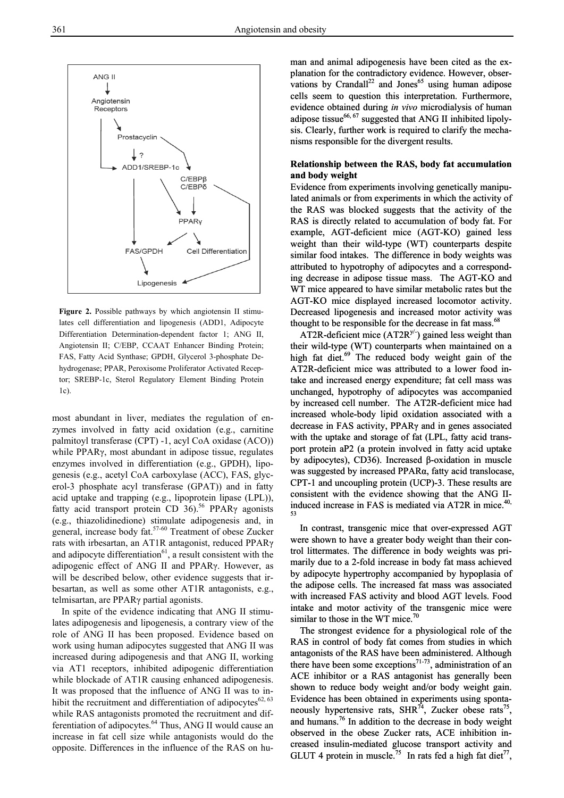

**Figure 2.** Possible pathways by which angiotensin II stimulates cell differentiation and lipogenesis (ADD1, Adipocyte Differentiation Determination-dependent factor 1; ANG II, Angiotensin II; C/EBP, CCAAT Enhancer Binding Protein; FAS, Fatty Acid Synthase; GPDH, Glycerol 3-phosphate Dehydrogenase; PPAR, Peroxisome Proliferator Activated Receptor; SREBP-1c, Sterol Regulatory Element Binding Protein 1c).

most abundant in liver, mediates the regulation of enzymes involved in fatty acid oxidation (e.g., carnitine palmitoyl transferase (CPT) -1, acyl CoA oxidase (ACO)) while PPARγ, most abundant in adipose tissue, regulates enzymes involved in differentiation (e.g., GPDH), lipogenesis (e.g., acetyl CoA carboxylase (ACC), FAS, glycerol-3 phosphate acyl transferase (GPAT)) and in fatty acid uptake and trapping (e.g., lipoprotein lipase (LPL)), fatty acid transport protein CD  $36$ .<sup>56</sup> PPAR<sub>Y</sub> agonists (e.g., thiazolidinedione) stimulate adipogenesis and, in general, increase body fat.<sup>57-60</sup> Treatment of obese Zucker rats with irbesartan, an AT1R antagonist, reduced PPARγ and adipocyte differentiation $^{61}$ , a result consistent with the adipogenic effect of ANG II and PPARγ. However, as will be described below, other evidence suggests that irbesartan, as well as some other AT1R antagonists, e.g., telmisartan, are PPARγ partial agonists.

 In spite of the evidence indicating that ANG II stimulates adipogenesis and lipogenesis, a contrary view of the role of ANG II has been proposed. Evidence based on work using human adipocytes suggested that ANG II was increased during adipogenesis and that ANG II, working via AT1 receptors, inhibited adipogenic differentiation while blockade of AT1R causing enhanced adipogenesis. It was proposed that the influence of ANG II was to inhibit the recruitment and differentiation of adipocytes $62, 63$ while RAS antagonists promoted the recruitment and differentiation of adipocytes.<sup>64</sup> Thus, ANG II would cause an increase in fat cell size while antagonists would do the opposite. Differences in the influence of the RAS on hu-

man and animal adipogenesis have been cited as the explanation for the contradictory evidence. However, obserman and animal adipogenesis have been cited as the ex-<br>planation for the contradictory evidence. However, obser-<br>vations by Crandall<sup>22</sup> and Jones<sup>65</sup> using human adipose cells seem to question this interpretation. Furthermore, evidence obtained during *in vivo* microdialysis of human adipose tissue $66, 67$  suggested that ANG II inhibited lipolysis. Clearly, further work is required to clarify the mechanisms responsible for the divergent results.

#### **Relationship between the RAS, body fat accumulation and body weight**

Evidence from experiments involving genetically manipulated animals or from experiments in which the activity of the RAS was blocked suggests that the activity of the RAS is directly related to accumulation of body fat. For example, AGT-deficient mice (AGT-KO) gained less weight than their wild-type (WT) counterparts despite similar food intakes. The difference in body weights was attributed to hypotrophy of adipocytes and a corresponding decrease in adipose tissue mass. The AGT-KO and WT mice appeared to have similar metabolic rates but the AGT-KO mice displayed increased locomotor activity. Decreased lipogenesis and increased motor activity was thought to be responsible for the decrease in fat mass.<sup>68</sup>

AT2R-deficient mice  $(AT2R<sup>y/-</sup>)$  gained less weight than their wild-type (WT) counterparts when maintained on a high fat diet.<sup>69</sup> The reduced body weight gain of the AT2R-deficient mice was attributed to a lower food intake and increased energy expenditure; fat cell mass was unchanged, hypotrophy of adipocytes was accompanied by increased cell number. The AT2R-deficient mice had increased whole-body lipid oxidation associated with a decrease in FAS activity, PPARγ and in genes associated with the uptake and storage of fat (LPL, fatty acid transport protein aP2 (a protein involved in fatty acid uptake by adipocytes), CD36). Increased β-oxidation in muscle was suggested by increased PPARα, fatty acid translocase, CPT-1 and uncoupling protein (UCP)-3. These results are consistent with the evidence showing that the ANG IIinduced increase in FAS is mediated via AT2R in mice.<sup>40,</sup> 53 e decrease in fat mass.<sup>68</sup><br><sup>y/-</sup>) gained less weight th<br>arts when maintained or<br>body weight gain of 1<br>buted to a lower food<br>enditure; fat cell mass w<br>pocytes was accompani<br> $\cdot$  AT2R-deficient mice h<br>idation associated w

 In contrast, transgenic mice that over-expressed AGT were shown to have a greater body weight than their control littermates. The difference in body weights was primarily due to a 2-fold increase in body fat mass achieved by adipocyte hypertrophy accompanied by hypoplasia of the adipose cells. The increased fat mass was associated with increased FAS activity and blood AGT levels. Food intake and motor activity of the transgenic mice were similar to those in the WT mice. $\frac{70}{2}$ 

 The strongest evidence for a physiological role of the RAS in control of body fat comes from studies in which antagonists of the RAS have been administered. Although there have been some exceptions<sup>71-73</sup>, administration of an ACE inhibitor or a RAS antagonist has generally been shown to reduce body weight and/or body weight gain. Evidence has been obtained in experiments using spontaneously hypertensive rats, SHR<sup>74</sup>, Zucker obese rats<sup>75</sup>, and humans.76 In addition to the decrease in body weight observed in the obese Zucker rats, ACE inhibition increased insulin-mediated glucose transport activity and GLUT 4 protein in muscle.<sup>75</sup> In rats fed a high fat diet<sup>77</sup>,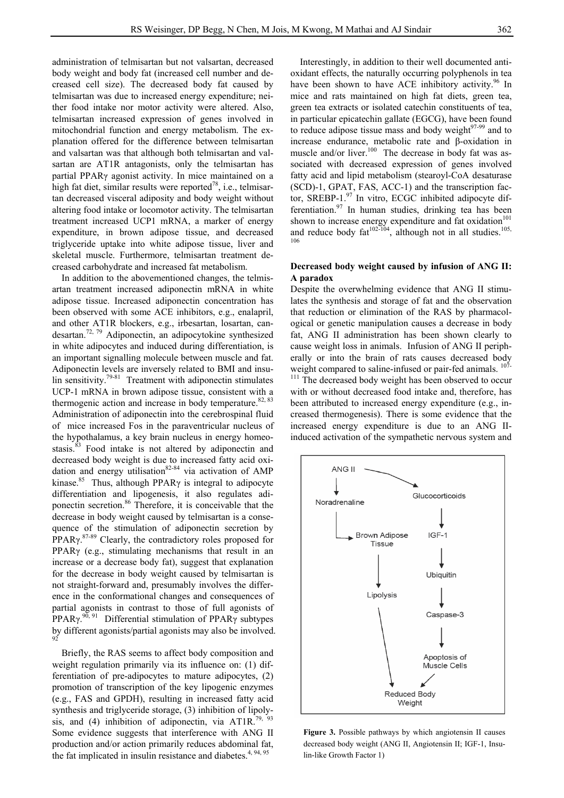administration of telmisartan but not valsartan, decreased body weight and body fat (increased cell number and decreased cell size). The decreased body fat caused by telmisartan was due to increased energy expenditure; neither food intake nor motor activity were altered. Also, telmisartan increased expression of genes involved in mitochondrial function and energy metabolism. The explanation offered for the difference between telmisartan and valsartan was that although both telmisartan and valsartan are AT1R antagonists, only the telmisartan has partial PPARγ agonist activity. In mice maintained on a high fat diet, similar results were reported<sup>78</sup>, i.e., telmisartan decreased visceral adiposity and body weight without altering food intake or locomotor activity. The telmisartan treatment increased UCP1 mRNA, a marker of energy expenditure, in brown adipose tissue, and decreased triglyceride uptake into white adipose tissue, liver and skeletal muscle. Furthermore, telmisartan treatment decreased carbohydrate and increased fat metabolism.

 In addition to the abovementioned changes, the telmisartan treatment increased adiponectin mRNA in white adipose tissue. Increased adiponectin concentration has been observed with some ACE inhibitors, e.g., enalapril, and other AT1R blockers, e.g., irbesartan, losartan, candesartan.72, 79 Adiponectin, an adipocytokine synthesized in white adipocytes and induced during differentiation, is an important signalling molecule between muscle and fat. Adiponectin levels are inversely related to BMI and insulin sensitivity.<sup>79-81</sup> Treatment with adiponectin stimulates UCP-1 mRNA in brown adipose tissue, consistent with a thermogenic action and increase in body temperature. $82, 83$ Administration of adiponectin into the cerebrospinal fluid of mice increased Fos in the paraventricular nucleus of the hypothalamus, a key brain nucleus in energy homeostasis.<sup>83</sup> Food intake is not altered by adiponectin and decreased body weight is due to increased fatty acid oxidation and energy utilisation $82-84$  via activation of AMP kinase.<sup>85</sup> Thus, although PPAR $\gamma$  is integral to adipocyte differentiation and lipogenesis, it also regulates adiponectin secretion.86 Therefore, it is conceivable that the decrease in body weight caused by telmisartan is a consequence of the stimulation of adiponectin secretion by  $PPAR\gamma$ .<sup>87-89</sup> Clearly, the contradictory roles proposed for PPARγ (e.g., stimulating mechanisms that result in an increase or a decrease body fat), suggest that explanation for the decrease in body weight caused by telmisartan is not straight-forward and, presumably involves the difference in the conformational changes and consequences of partial agonists in contrast to those of full agonists of PPAR $\gamma$ <sup>90, 91</sup> Differential stimulation of PPAR $\gamma$  subtypes by different agonists/partial agonists may also be involved. 92

 Briefly, the RAS seems to affect body composition and weight regulation primarily via its influence on: (1) differentiation of pre-adipocytes to mature adipocytes, (2) promotion of transcription of the key lipogenic enzymes (e.g., FAS and GPDH), resulting in increased fatty acid synthesis and triglyceride storage, (3) inhibition of lipolysis, and (4) inhibition of adiponectin, via AT1R.<sup>79, 93</sup> Some evidence suggests that interference with ANG II production and/or action primarily reduces abdominal fat, the fat implicated in insulin resistance and diabetes. $4,94,95$ 

 Interestingly, in addition to their well documented antioxidant effects, the naturally occurring polyphenols in tea have been shown to have ACE inhibitory activity.<sup>96</sup> In mice and rats maintained on high fat diets, green tea, green tea extracts or isolated catechin constituents of tea, in particular epicatechin gallate (EGCG), have been found to reduce adipose tissue mass and body weight $97-99$  and to increase endurance, metabolic rate and β-oxidation in muscle and/or liver. $100$  The decrease in body fat was associated with decreased expression of genes involved fatty acid and lipid metabolism (stearoyl-CoA desaturase (SCD)-1, GPAT, FAS, ACC-1) and the transcription factor, SREBP-1.97 In vitro, ECGC inhibited adipocyte differentiation. $97$  In human studies, drinking tea has been shown to increase energy expenditure and fat oxidation<sup>101</sup> and reduce body  $fat^{102-104}$ , although not in all studies.<sup>105,</sup> 106

#### **Decreased body weight caused by infusion of ANG II: A paradox**

Despite the overwhelming evidence that ANG II stimulates the synthesis and storage of fat and the observation that reduction or elimination of the RAS by pharmacological or genetic manipulation causes a decrease in body fat, ANG II administration has been shown clearly to cause weight loss in animals. Infusion of ANG II peripherally or into the brain of rats causes decreased body weight compared to saline-infused or pair-fed animals. <sup>107-</sup>

<sup>111</sup> The decreased body weight has been observed to occur with or without decreased food intake and, therefore, has been attributed to increased energy expenditure (e.g., increased thermogenesis). There is some evidence that the increased energy expenditure is due to an ANG IIinduced activation of the sympathetic nervous system and



**Figure 3.** Possible pathways by which angiotensin II causes decreased body weight (ANG II, Angiotensin II; IGF-1, Insulin-like Growth Factor 1)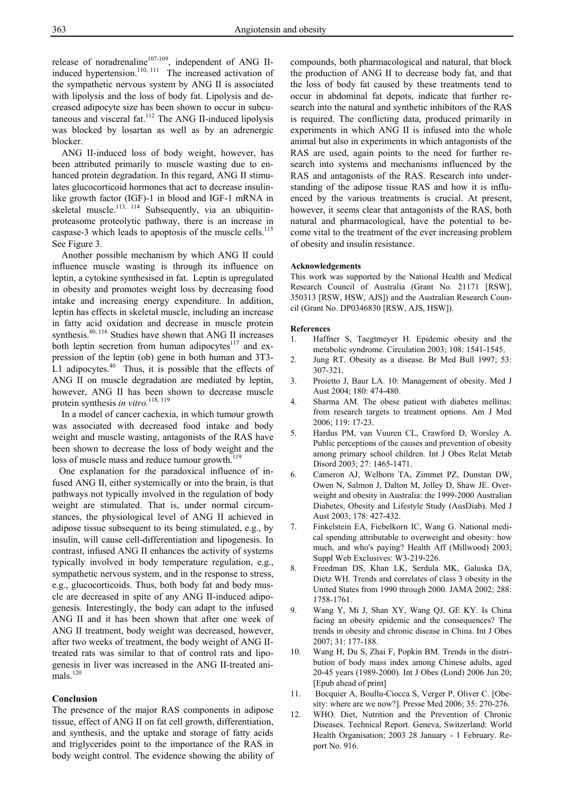release of noradrenaline<sup>107-109</sup>, independent of ANG IIinduced hypertension.<sup>110, 111</sup> The increased activation of the sympathetic nervous system by ANG II is associated with lipolysis and the loss of body fat. Lipolysis and decreased adipocyte size has been shown to occur in subcutaneous and visceral fat.<sup>112</sup> The ANG II-induced lipolysis was blocked by losartan as well as by an adrenergic blocker.

 ANG II-induced loss of body weight, however, has been attributed primarily to muscle wasting due to enhanced protein degradation. In this regard, ANG II stimulates glucocorticoid hormones that act to decrease insulinlike growth factor (IGF)-1 in blood and IGF-1 mRNA in skeletal muscle.<sup>113, 114</sup> Subsequently, via an ubiquitinproteasome proteolytic pathway, there is an increase in caspase-3 which leads to apoptosis of the muscle cells.<sup>115</sup> See Figure 3.

 Another possible mechanism by which ANG II could influence muscle wasting is through its influence on leptin, a cytokine synthesised in fat. Leptin is upregulated in obesity and promotes weight loss by decreasing food intake and increasing energy expenditure. In addition, leptin has effects in skeletal muscle, including an increase in fatty acid oxidation and decrease in muscle protein synthesis.<sup>80, 116</sup> Studies have shown that ANG II increases both leptin secretion from human adipocytes<sup>117</sup> and expression of the leptin (ob) gene in both human and 3T3- L1 adipocytes. $40$  Thus, it is possible that the effects of ANG II on muscle degradation are mediated by leptin, however, ANG II has been shown to decrease muscle protein synthesis *in vitro.*118, 119

 In a model of cancer cachexia, in which tumour growth was associated with decreased food intake and body weight and muscle wasting, antagonists of the RAS have been shown to decrease the loss of body weight and the loss of muscle mass and reduce tumour growth.<sup>119</sup>

 One explanation for the paradoxical influence of infused ANG II, either systemically or into the brain, is that pathways not typically involved in the regulation of body weight are stimulated. That is, under normal circumstances, the physiological level of ANG II achieved in adipose tissue subsequent to its being stimulated, e.g., by insulin, will cause cell-differentiation and lipogenesis. In contrast, infused ANG II enhances the activity of systems typically involved in body temperature regulation, e.g., sympathetic nervous system, and in the response to stress, e.g., glucocorticoids. Thus, both body fat and body muscle are decreased in spite of any ANG II-induced adipogenesis. Interestingly, the body can adapt to the infused ANG II and it has been shown that after one week of ANG II treatment, body weight was decreased, however, after two weeks of treatment, the body weight of ANG IItreated rats was similar to that of control rats and lipogenesis in liver was increased in the ANG II-treated ani $mals$ <sup>120</sup>

#### **Conclusion**

The presence of the major RAS components in adipose tissue, effect of ANG II on fat cell growth, differentiation, and synthesis, and the uptake and storage of fatty acids and triglycerides point to the importance of the RAS in body weight control. The evidence showing the ability of compounds, both pharmacological and natural, that block the production of ANG II to decrease body fat, and that the loss of body fat caused by these treatments tend to occur in abdominal fat depots, indicate that further research into the natural and synthetic inhibitors of the RAS is required. The conflicting data, produced primarily in experiments in which ANG II is infused into the whole animal but also in experiments in which antagonists of the RAS are used, again points to the need for further research into systems and mechanisms influenced by the RAS and antagonists of the RAS. Research into understanding of the adipose tissue RAS and how it is influenced by the various treatments is crucial. At present, however, it seems clear that antagonists of the RAS, both natural and pharmacological, have the potential to become vital to the treatment of the ever increasing problem of obesity and insulin resistance.

#### **Acknowledgements**

This work was supported by the National Health and Medical Research Council of Australia (Grant No. 21171 [RSW], 350313 [RSW, HSW, AJS]) and the Australian Research Council (Grant No. DP0346830 [RSW, AJS, HSW]).

#### **References**

- 1. Haffner S, Taegtmeyer H. Epidemic obesity and the metabolic syndrome. Circulation 2003; 108: 1541-1545.
- 2. Jung RT. Obesity as a disease. Br Med Bull 1997; 53: 307-321.
- 3. Proietto J, Baur LA. 10: Management of obesity. Med J Aust 2004; 180: 474-480.
- 4. Sharma AM. The obese patient with diabetes mellitus: from research targets to treatment options. Am J Med 2006; 119: 17-23.
- 5. Hardus PM, van Vuuren CL, Crawford D, Worsley A. Public perceptions of the causes and prevention of obesity among primary school children. Int J Obes Relat Metab Disord 2003; 27: 1465-1471.
- 6. Cameron AJ, Welborn TA, Zimmet PZ, Dunstan DW, Owen N, Salmon J, Dalton M, Jolley D, Shaw JE. Overweight and obesity in Australia: the 1999-2000 Australian Diabetes, Obesity and Lifestyle Study (AusDiab). Med J Aust 2003; 178: 427-432.
- 7. Finkelstein EA, Fiebelkorn IC, Wang G. National medical spending attributable to overweight and obesity: how much, and who's paying? Health Aff (Millwood) 2003; Suppl Web Exclusives: W3-219-226.
- 8. Freedman DS, Khan LK, Serdula MK, Galuska DA, Dietz WH. Trends and correlates of class 3 obesity in the United States from 1990 through 2000. JAMA 2002; 288: 1758-1761.
- 9. Wang Y, Mi J, Shan XY, Wang QJ, GE KY. Is China facing an obesity epidemic and the consequences? The trends in obesity and chronic disease in China. Int J Obes  $2007 \cdot 31 \cdot 177 - 188$
- 10. Wang H, Du S, Zhai F, Popkin BM. Trends in the distribution of body mass index among Chinese adults, aged 20-45 years (1989-2000). Int J Obes (Lond) 2006 Jun 20; [Epub ahead of print]
- 11. Bocquier A, Boullu-Ciocca S, Verger P, Oliver C. [Obesity: where are we now?]. Presse Med 2006; 35: 270-276.
- 12. WHO. Diet, Nutrition and the Prevention of Chronic Diseases. Technical Report. Geneva, Switzerland: World Health Organisation; 2003 28 January - 1 February. Report No. 916.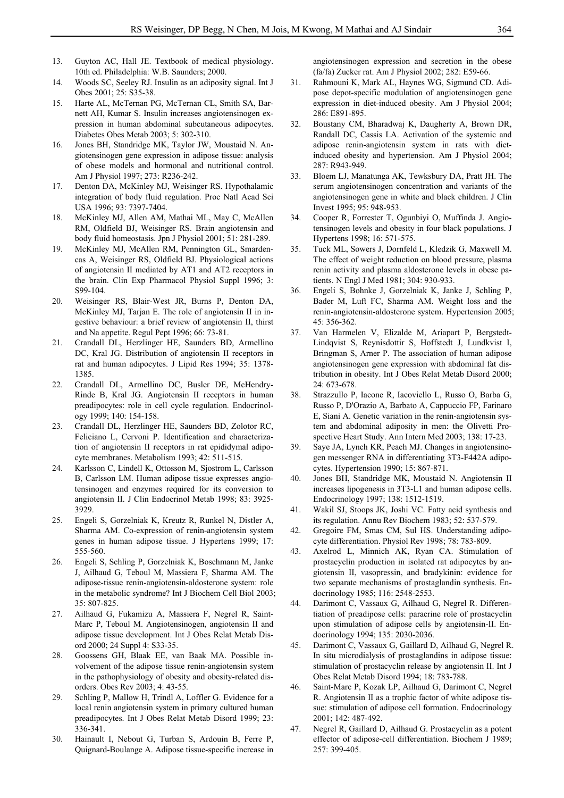- 13. Guyton AC, Hall JE. Textbook of medical physiology. 10th ed. Philadelphia: W.B. Saunders; 2000.
- 14. Woods SC, Seeley RJ. Insulin as an adiposity signal. Int J Obes 2001; 25: S35-38.
- 15. Harte AL, McTernan PG, McTernan CL, Smith SA, Barnett AH, Kumar S. Insulin increases angiotensinogen expression in human abdominal subcutaneous adipocytes. Diabetes Obes Metab 2003; 5: 302-310.
- 16. Jones BH, Standridge MK, Taylor JW, Moustaid N. Angiotensinogen gene expression in adipose tissue: analysis of obese models and hormonal and nutritional control. Am J Physiol 1997; 273: R236-242.
- 17. Denton DA, McKinley MJ, Weisinger RS. Hypothalamic integration of body fluid regulation. Proc Natl Acad Sci USA 1996; 93: 7397-7404.
- 18. McKinley MJ, Allen AM, Mathai ML, May C, McAllen RM, Oldfield BJ, Weisinger RS. Brain angiotensin and body fluid homeostasis. Jpn J Physiol 2001; 51: 281-289.
- 19. McKinley MJ, McAllen RM, Pennington GL, Smardencas A, Weisinger RS, Oldfield BJ. Physiological actions of angiotensin II mediated by AT1 and AT2 receptors in the brain. Clin Exp Pharmacol Physiol Suppl 1996; 3: S99-104.
- 20. Weisinger RS, Blair-West JR, Burns P, Denton DA, McKinley MJ, Tarjan E. The role of angiotensin II in ingestive behaviour: a brief review of angiotensin II, thirst and Na appetite. Regul Pept 1996; 66: 73-81.
- 21. Crandall DL, Herzlinger HE, Saunders BD, Armellino DC, Kral JG. Distribution of angiotensin II receptors in rat and human adipocytes. J Lipid Res 1994; 35: 1378- 1385.
- 22. Crandall DL, Armellino DC, Busler DE, McHendry-Rinde B, Kral JG. Angiotensin II receptors in human preadipocytes: role in cell cycle regulation. Endocrinology 1999; 140: 154-158.
- 23. Crandall DL, Herzlinger HE, Saunders BD, Zolotor RC, Feliciano L, Cervoni P. Identification and characterization of angiotensin II receptors in rat epididymal adipocyte membranes. Metabolism 1993; 42: 511-515.
- 24. Karlsson C, Lindell K, Ottosson M, Sjostrom L, Carlsson B, Carlsson LM. Human adipose tissue expresses angiotensinogen and enzymes required for its conversion to angiotensin II. J Clin Endocrinol Metab 1998; 83: 3925- 3929.
- 25. Engeli S, Gorzelniak K, Kreutz R, Runkel N, Distler A, Sharma AM. Co-expression of renin-angiotensin system genes in human adipose tissue. J Hypertens 1999; 17: 555-560.
- 26. Engeli S, Schling P, Gorzelniak K, Boschmann M, Janke J, Ailhaud G, Teboul M, Massiera F, Sharma AM. The adipose-tissue renin-angiotensin-aldosterone system: role in the metabolic syndrome? Int J Biochem Cell Biol 2003; 35: 807-825.
- 27. Ailhaud G, Fukamizu A, Massiera F, Negrel R, Saint-Marc P, Teboul M. Angiotensinogen, angiotensin II and adipose tissue development. Int J Obes Relat Metab Disord 2000; 24 Suppl 4: S33-35.
- 28. Goossens GH, Blaak EE, van Baak MA. Possible involvement of the adipose tissue renin-angiotensin system in the pathophysiology of obesity and obesity-related disorders. Obes Rev 2003; 4: 43-55.
- 29. Schling P, Mallow H, Trindl A, Loffler G. Evidence for a local renin angiotensin system in primary cultured human preadipocytes. Int J Obes Relat Metab Disord 1999; 23: 336-341.
- 30. Hainault I, Nebout G, Turban S, Ardouin B, Ferre P, Quignard-Boulange A. Adipose tissue-specific increase in

angiotensinogen expression and secretion in the obese (fa/fa) Zucker rat. Am J Physiol 2002; 282: E59-66.

- 31. Rahmouni K, Mark AL, Haynes WG, Sigmund CD. Adipose depot-specific modulation of angiotensinogen gene expression in diet-induced obesity. Am J Physiol 2004; 286: E891-895.
- 32. Boustany CM, Bharadwaj K, Daugherty A, Brown DR, Randall DC, Cassis LA. Activation of the systemic and adipose renin-angiotensin system in rats with dietinduced obesity and hypertension. Am J Physiol 2004; 287: R943-949.
- 33. Bloem LJ, Manatunga AK, Tewksbury DA, Pratt JH. The serum angiotensinogen concentration and variants of the angiotensinogen gene in white and black children. J Clin Invest 1995; 95: 948-953.
- 34. Cooper R, Forrester T, Ogunbiyi O, Muffinda J. Angiotensinogen levels and obesity in four black populations. J Hypertens 1998; 16: 571-575.
- 35. Tuck ML, Sowers J, Dornfeld L, Kledzik G, Maxwell M. The effect of weight reduction on blood pressure, plasma renin activity and plasma aldosterone levels in obese patients. N Engl J Med 1981; 304: 930-933.
- 36. Engeli S, Bohnke J, Gorzelniak K, Janke J, Schling P, Bader M, Luft FC, Sharma AM. Weight loss and the renin-angiotensin-aldosterone system. Hypertension 2005; 45: 356-362.
- 37. Van Harmelen V, Elizalde M, Ariapart P, Bergstedt-Lindqvist S, Reynisdottir S, Hoffstedt J, Lundkvist I, Bringman S, Arner P. The association of human adipose angiotensinogen gene expression with abdominal fat distribution in obesity. Int J Obes Relat Metab Disord 2000; 24: 673-678.
- 38. Strazzullo P, Iacone R, Iacoviello L, Russo O, Barba G, Russo P, D'Orazio A, Barbato A, Cappuccio FP, Farinaro E, Siani A. Genetic variation in the renin-angiotensin system and abdominal adiposity in men: the Olivetti Prospective Heart Study. Ann Intern Med 2003; 138: 17-23.
- 39. Saye JA, Lynch KR, Peach MJ. Changes in angiotensinogen messenger RNA in differentiating 3T3-F442A adipocytes. Hypertension 1990; 15: 867-871.
- 40. Jones BH, Standridge MK, Moustaid N. Angiotensin II increases lipogenesis in 3T3-L1 and human adipose cells. Endocrinology 1997; 138: 1512-1519.
- 41. Wakil SJ, Stoops JK, Joshi VC. Fatty acid synthesis and its regulation. Annu Rev Biochem 1983; 52: 537-579.
- 42. Gregoire FM, Smas CM, Sul HS. Understanding adipocyte differentiation. Physiol Rev 1998; 78: 783-809.
- 43. Axelrod L, Minnich AK, Ryan CA. Stimulation of prostacyclin production in isolated rat adipocytes by angiotensin II, vasopressin, and bradykinin: evidence for two separate mechanisms of prostaglandin synthesis. Endocrinology 1985; 116: 2548-2553.
- 44. Darimont C, Vassaux G, Ailhaud G, Negrel R. Differentiation of preadipose cells: paracrine role of prostacyclin upon stimulation of adipose cells by angiotensin-II. Endocrinology 1994; 135: 2030-2036.
- 45. Darimont C, Vassaux G, Gaillard D, Ailhaud G, Negrel R. In situ microdialysis of prostaglandins in adipose tissue: stimulation of prostacyclin release by angiotensin II. Int J Obes Relat Metab Disord 1994; 18: 783-788.
- 46. Saint-Marc P, Kozak LP, Ailhaud G, Darimont C, Negrel R. Angiotensin II as a trophic factor of white adipose tissue: stimulation of adipose cell formation. Endocrinology 2001; 142: 487-492.
- 47. Negrel R, Gaillard D, Ailhaud G. Prostacyclin as a potent effector of adipose-cell differentiation. Biochem J 1989; 257: 399-405.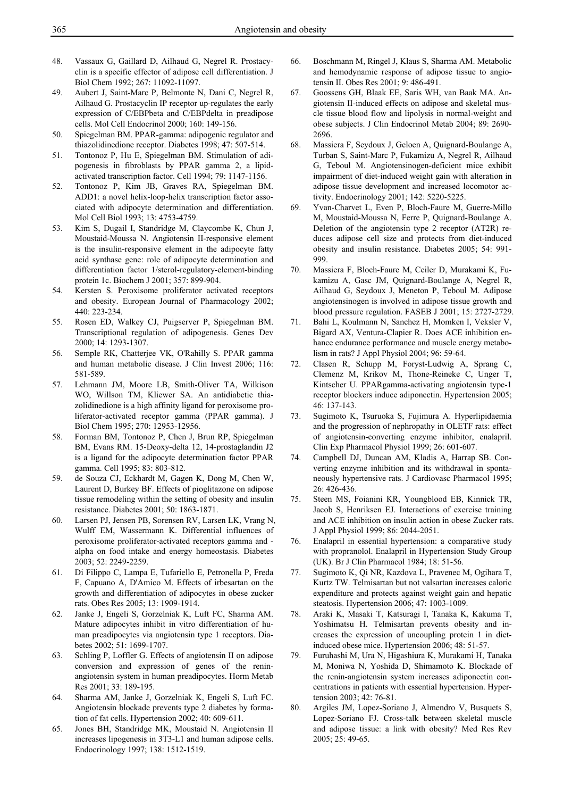- 48. Vassaux G, Gaillard D, Ailhaud G, Negrel R. Prostacyclin is a specific effector of adipose cell differentiation. J Biol Chem 1992; 267: 11092-11097.
- 49. Aubert J, Saint-Marc P, Belmonte N, Dani C, Negrel R, Ailhaud G. Prostacyclin IP receptor up-regulates the early expression of C/EBPbeta and C/EBPdelta in preadipose cells. Mol Cell Endocrinol 2000; 160: 149-156.
- 50. Spiegelman BM. PPAR-gamma: adipogenic regulator and thiazolidinedione receptor. Diabetes 1998; 47: 507-514.
- 51. Tontonoz P, Hu E, Spiegelman BM. Stimulation of adipogenesis in fibroblasts by PPAR gamma 2, a lipidactivated transcription factor. Cell 1994; 79: 1147-1156.
- 52. Tontonoz P, Kim JB, Graves RA, Spiegelman BM. ADD1: a novel helix-loop-helix transcription factor associated with adipocyte determination and differentiation. Mol Cell Biol 1993; 13: 4753-4759.
- 53. Kim S, Dugail I, Standridge M, Claycombe K, Chun J, Moustaid-Moussa N. Angiotensin II-responsive element is the insulin-responsive element in the adipocyte fatty acid synthase gene: role of adipocyte determination and differentiation factor 1/sterol-regulatory-element-binding protein 1c. Biochem J 2001; 357: 899-904.
- 54. Kersten S. Peroxisome proliferator activated receptors and obesity. European Journal of Pharmacology 2002; 440: 223-234.
- 55. Rosen ED, Walkey CJ, Puigserver P, Spiegelman BM. Transcriptional regulation of adipogenesis. Genes Dev 2000; 14: 1293-1307.
- 56. Semple RK, Chatterjee VK, O'Rahilly S. PPAR gamma and human metabolic disease. J Clin Invest 2006; 116: 581-589.
- 57. Lehmann JM, Moore LB, Smith-Oliver TA, Wilkison WO, Willson TM, Kliewer SA. An antidiabetic thiazolidinedione is a high affinity ligand for peroxisome proliferator-activated receptor gamma (PPAR gamma). J Biol Chem 1995; 270: 12953-12956.
- 58. Forman BM, Tontonoz P, Chen J, Brun RP, Spiegelman BM, Evans RM. 15-Deoxy-delta 12, 14-prostaglandin J2 is a ligand for the adipocyte determination factor PPAR gamma. Cell 1995; 83: 803-812.
- 59. de Souza CJ, Eckhardt M, Gagen K, Dong M, Chen W, Laurent D, Burkey BF. Effects of pioglitazone on adipose tissue remodeling within the setting of obesity and insulin resistance. Diabetes 2001; 50: 1863-1871.
- 60. Larsen PJ, Jensen PB, Sorensen RV, Larsen LK, Vrang N, Wulff EM, Wassermann K. Differential influences of peroxisome proliferator-activated receptors gamma and alpha on food intake and energy homeostasis. Diabetes 2003; 52: 2249-2259.
- 61. Di Filippo C, Lampa E, Tufariello E, Petronella P, Freda F, Capuano A, D'Amico M. Effects of irbesartan on the growth and differentiation of adipocytes in obese zucker rats. Obes Res 2005; 13: 1909-1914.
- 62. Janke J, Engeli S, Gorzelniak K, Luft FC, Sharma AM. Mature adipocytes inhibit in vitro differentiation of human preadipocytes via angiotensin type 1 receptors. Diabetes 2002; 51: 1699-1707.
- 63. Schling P, Loffler G. Effects of angiotensin II on adipose conversion and expression of genes of the reninangiotensin system in human preadipocytes. Horm Metab Res 2001; 33: 189-195.
- 64. Sharma AM, Janke J, Gorzelniak K, Engeli S, Luft FC. Angiotensin blockade prevents type 2 diabetes by formation of fat cells. Hypertension 2002; 40: 609-611.
- 65. Jones BH, Standridge MK, Moustaid N. Angiotensin II increases lipogenesis in 3T3-L1 and human adipose cells. Endocrinology 1997; 138: 1512-1519.
- 66. Boschmann M, Ringel J, Klaus S, Sharma AM. Metabolic and hemodynamic response of adipose tissue to angiotensin II. Obes Res 2001; 9: 486-491.
- 67. Goossens GH, Blaak EE, Saris WH, van Baak MA. Angiotensin II-induced effects on adipose and skeletal muscle tissue blood flow and lipolysis in normal-weight and obese subjects. J Clin Endocrinol Metab 2004; 89: 2690- 2696.
- 68. Massiera F, Seydoux J, Geloen A, Quignard-Boulange A, Turban S, Saint-Marc P, Fukamizu A, Negrel R, Ailhaud G, Teboul M. Angiotensinogen-deficient mice exhibit impairment of diet-induced weight gain with alteration in adipose tissue development and increased locomotor activity. Endocrinology 2001; 142: 5220-5225.
- 69. Yvan-Charvet L, Even P, Bloch-Faure M, Guerre-Millo M, Moustaid-Moussa N, Ferre P, Quignard-Boulange A. Deletion of the angiotensin type 2 receptor (AT2R) reduces adipose cell size and protects from diet-induced obesity and insulin resistance. Diabetes 2005; 54: 991- 999.
- 70. Massiera F, Bloch-Faure M, Ceiler D, Murakami K, Fukamizu A, Gasc JM, Quignard-Boulange A, Negrel R, Ailhaud G, Seydoux J, Meneton P, Teboul M. Adipose angiotensinogen is involved in adipose tissue growth and blood pressure regulation. FASEB J 2001; 15: 2727-2729.
- 71. Bahi L, Koulmann N, Sanchez H, Momken I, Veksler V, Bigard AX, Ventura-Clapier R. Does ACE inhibition enhance endurance performance and muscle energy metabolism in rats? J Appl Physiol 2004; 96: 59-64.
- 72. Clasen R, Schupp M, Foryst-Ludwig A, Sprang C, Clemenz M, Krikov M, Thone-Reineke C, Unger T, Kintscher U. PPARgamma-activating angiotensin type-1 receptor blockers induce adiponectin. Hypertension 2005; 46: 137-143.
- 73. Sugimoto K, Tsuruoka S, Fujimura A. Hyperlipidaemia and the progression of nephropathy in OLETF rats: effect of angiotensin-converting enzyme inhibitor, enalapril. Clin Exp Pharmacol Physiol 1999; 26: 601-607.
- 74. Campbell DJ, Duncan AM, Kladis A, Harrap SB. Converting enzyme inhibition and its withdrawal in spontaneously hypertensive rats. J Cardiovasc Pharmacol 1995; 26: 426-436.
- 75. Steen MS, Foianini KR, Youngblood EB, Kinnick TR, Jacob S, Henriksen EJ. Interactions of exercise training and ACE inhibition on insulin action in obese Zucker rats. J Appl Physiol 1999; 86: 2044-2051.
- 76. Enalapril in essential hypertension: a comparative study with propranolol. Enalapril in Hypertension Study Group (UK). Br J Clin Pharmacol 1984; 18: 51-56.
- 77. Sugimoto K, Qi NR, Kazdova L, Pravenec M, Ogihara T, Kurtz TW. Telmisartan but not valsartan increases caloric expenditure and protects against weight gain and hepatic steatosis. Hypertension 2006; 47: 1003-1009.
- 78. Araki K, Masaki T, Katsuragi I, Tanaka K, Kakuma T, Yoshimatsu H. Telmisartan prevents obesity and increases the expression of uncoupling protein 1 in dietinduced obese mice. Hypertension 2006; 48: 51-57.
- 79. Furuhashi M, Ura N, Higashiura K, Murakami H, Tanaka M, Moniwa N, Yoshida D, Shimamoto K. Blockade of the renin-angiotensin system increases adiponectin concentrations in patients with essential hypertension. Hypertension 2003; 42: 76-81.
- 80. Argiles JM, Lopez-Soriano J, Almendro V, Busquets S, Lopez-Soriano FJ. Cross-talk between skeletal muscle and adipose tissue: a link with obesity? Med Res Rev 2005; 25: 49-65.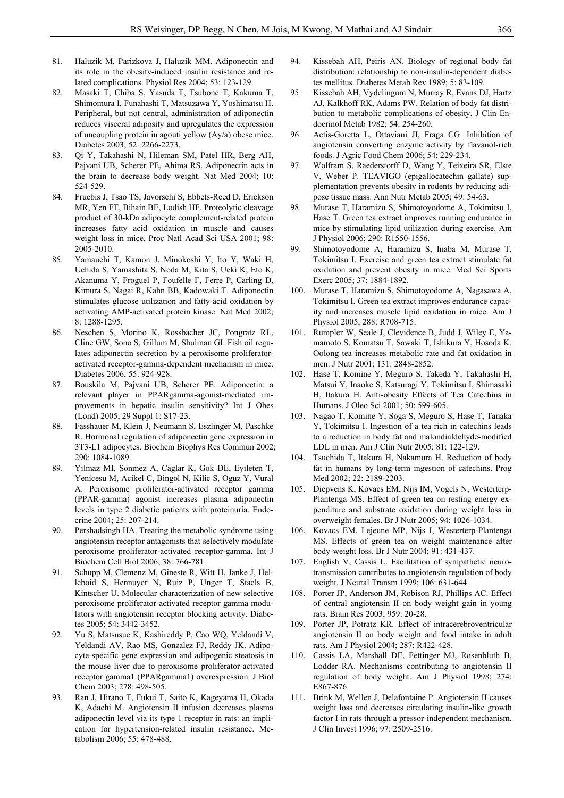- 81. Haluzik M, Parizkova J, Haluzik MM. Adiponectin and its role in the obesity-induced insulin resistance and related complications. Physiol Res 2004; 53: 123-129.
- 82. Masaki T, Chiba S, Yasuda T, Tsubone T, Kakuma T, Shimomura I, Funahashi T, Matsuzawa Y, Yoshimatsu H. Peripheral, but not central, administration of adiponectin reduces visceral adiposity and upregulates the expression of uncoupling protein in agouti yellow (Ay/a) obese mice. Diabetes 2003; 52: 2266-2273.
- 83. Qi Y, Takahashi N, Hileman SM, Patel HR, Berg AH, Pajvani UB, Scherer PE, Ahima RS. Adiponectin acts in the brain to decrease body weight. Nat Med 2004; 10: 524-529.
- 84. Fruebis J, Tsao TS, Javorschi S, Ebbets-Reed D, Erickson MR, Yen FT, Bihain BE, Lodish HF. Proteolytic cleavage product of 30-kDa adipocyte complement-related protein increases fatty acid oxidation in muscle and causes weight loss in mice. Proc Natl Acad Sci USA 2001; 98: 2005-2010.
- 85. Yamauchi T, Kamon J, Minokoshi Y, Ito Y, Waki H, Uchida S, Yamashita S, Noda M, Kita S, Ueki K, Eto K, Akanuma Y, Froguel P, Foufelle F, Ferre P, Carling D, Kimura S, Nagai R, Kahn BB, Kadowaki T. Adiponectin stimulates glucose utilization and fatty-acid oxidation by activating AMP-activated protein kinase. Nat Med 2002; 8: 1288-1295.
- 86. Neschen S, Morino K, Rossbacher JC, Pongratz RL, Cline GW, Sono S, Gillum M, Shulman GI. Fish oil regulates adiponectin secretion by a peroxisome proliferatoractivated receptor-gamma-dependent mechanism in mice. Diabetes 2006; 55: 924-928.
- 87. Bouskila M, Pajvani UB, Scherer PE. Adiponectin: a relevant player in PPARgamma-agonist-mediated improvements in hepatic insulin sensitivity? Int J Obes (Lond) 2005; 29 Suppl 1: S17-23.
- 88. Fasshauer M, Klein J, Neumann S, Eszlinger M, Paschke R. Hormonal regulation of adiponectin gene expression in 3T3-L1 adipocytes. Biochem Biophys Res Commun 2002; 290: 1084-1089.
- 89. Yilmaz MI, Sonmez A, Caglar K, Gok DE, Eyileten T, Yenicesu M, Acikel C, Bingol N, Kilic S, Oguz Y, Vural A. Peroxisome proliferator-activated receptor gamma (PPAR-gamma) agonist increases plasma adiponectin levels in type 2 diabetic patients with proteinuria. Endocrine 2004; 25: 207-214.
- 90. Pershadsingh HA. Treating the metabolic syndrome using angiotensin receptor antagonists that selectively modulate peroxisome proliferator-activated receptor-gamma. Int J Biochem Cell Biol 2006; 38: 766-781.
- 91. Schupp M, Clemenz M, Gineste R, Witt H, Janke J, Helleboid S, Hennuyer N, Ruiz P, Unger T, Staels B, Kintscher U. Molecular characterization of new selective peroxisome proliferator-activated receptor gamma modulators with angiotensin receptor blocking activity. Diabetes 2005; 54: 3442-3452.
- 92. Yu S, Matsusue K, Kashireddy P, Cao WQ, Yeldandi V, Yeldandi AV, Rao MS, Gonzalez FJ, Reddy JK. Adipocyte-specific gene expression and adipogenic steatosis in the mouse liver due to peroxisome proliferator-activated receptor gamma1 (PPARgamma1) overexpression. J Biol Chem 2003; 278: 498-505.
- 93. Ran J, Hirano T, Fukui T, Saito K, Kageyama H, Okada K, Adachi M. Angiotensin II infusion decreases plasma adiponectin level via its type 1 receptor in rats: an implication for hypertension-related insulin resistance. Metabolism 2006; 55: 478-488.
- 94. Kissebah AH, Peiris AN. Biology of regional body fat distribution: relationship to non-insulin-dependent diabetes mellitus. Diabetes Metab Rev 1989; 5: 83-109.
- 95. Kissebah AH, Vydelingum N, Murray R, Evans DJ, Hartz AJ, Kalkhoff RK, Adams PW. Relation of body fat distribution to metabolic complications of obesity. J Clin Endocrinol Metab 1982; 54: 254-260.
- 96. Actis-Goretta L, Ottaviani JI, Fraga CG. Inhibition of angiotensin converting enzyme activity by flavanol-rich foods. J Agric Food Chem 2006; 54: 229-234.
- 97. Wolfram S, Raederstorff D, Wang Y, Teixeira SR, Elste V, Weber P. TEAVIGO (epigallocatechin gallate) supplementation prevents obesity in rodents by reducing adipose tissue mass. Ann Nutr Metab 2005; 49: 54-63.
- 98. Murase T, Haramizu S, Shimotoyodome A, Tokimitsu I, Hase T. Green tea extract improves running endurance in mice by stimulating lipid utilization during exercise. Am J Physiol 2006; 290: R1550-1556.
- 99. Shimotoyodome A, Haramizu S, Inaba M, Murase T, Tokimitsu I. Exercise and green tea extract stimulate fat oxidation and prevent obesity in mice. Med Sci Sports Exerc 2005; 37: 1884-1892.
- 100. Murase T, Haramizu S, Shimotoyodome A, Nagasawa A, Tokimitsu I. Green tea extract improves endurance capacity and increases muscle lipid oxidation in mice. Am J Physiol 2005; 288: R708-715.
- 101. Rumpler W, Seale J, Clevidence B, Judd J, Wiley E, Yamamoto S, Komatsu T, Sawaki T, Ishikura Y, Hosoda K. Oolong tea increases metabolic rate and fat oxidation in men. J Nutr 2001; 131: 2848-2852.
- 102. Hase T, Komine Y, Meguro S, Takeda Y, Takahashi H, Matsui Y, Inaoke S, Katsuragi Y, Tokimitsu I, Shimasaki H, Itakura H. Anti-obesity Effects of Tea Catechins in Humans. J Oleo Sci 2001; 50: 599-605.
- 103. Nagao T, Komine Y, Soga S, Meguro S, Hase T, Tanaka Y, Tokimitsu I. Ingestion of a tea rich in catechins leads to a reduction in body fat and malondialdehyde-modified LDL in men. Am J Clin Nutr 2005; 81: 122-129.
- 104. Tsuchida T, Itakura H, Nakamura H. Reduction of body fat in humans by long-term ingestion of catechins. Prog Med 2002; 22: 2189-2203.
- 105. Diepvens K, Kovacs EM, Nijs IM, Vogels N, Westerterp-Plantenga MS. Effect of green tea on resting energy expenditure and substrate oxidation during weight loss in overweight females. Br J Nutr 2005; 94: 1026-1034.
- 106. Kovacs EM, Lejeune MP, Nijs I, Westerterp-Plantenga MS. Effects of green tea on weight maintenance after body-weight loss. Br J Nutr 2004; 91: 431-437.
- 107. English V, Cassis L. Facilitation of sympathetic neurotransmission contributes to angiotensin regulation of body weight. J Neural Transm 1999; 106: 631-644.
- 108. Porter JP, Anderson JM, Robison RJ, Phillips AC. Effect of central angiotensin II on body weight gain in young rats. Brain Res 2003; 959: 20-28.
- 109. Porter JP, Potratz KR. Effect of intracerebroventricular angiotensin II on body weight and food intake in adult rats. Am J Physiol 2004; 287: R422-428.
- 110. Cassis LA, Marshall DE, Fettinger MJ, Rosenbluth B, Lodder RA. Mechanisms contributing to angiotensin II regulation of body weight. Am J Physiol 1998; 274: E867-876.
- 111. Brink M, Wellen J, Delafontaine P. Angiotensin II causes weight loss and decreases circulating insulin-like growth factor I in rats through a pressor-independent mechanism. J Clin Invest 1996; 97: 2509-2516.